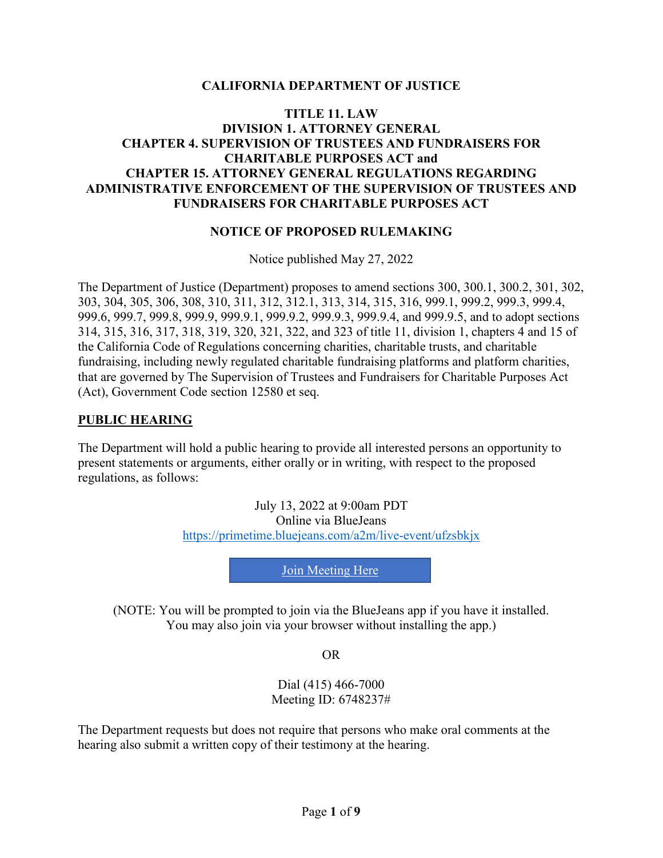#### **CALIFORNIA DEPARTMENT OF JUSTICE**

#### **TITLE 11. LAW DIVISION 1. ATTORNEY GENERAL CHAPTER 4. SUPERVISION OF TRUSTEES AND FUNDRAISERS FOR CHARITABLE PURPOSES ACT and CHAPTER 15. ATTORNEY GENERAL REGULATIONS REGARDING ADMINISTRATIVE ENFORCEMENT OF THE SUPERVISION OF TRUSTEES AND FUNDRAISERS FOR CHARITABLE PURPOSES ACT**

#### **NOTICE OF PROPOSED RULEMAKING**

Notice published May 27, 2022

The Department of Justice (Department) proposes to amend sections 300, 300.1, 300.2, 301, 302, 303, 304, 305, 306, 308, 310, 311, 312, 312.1, 313, 314, 315, 316, 999.1, 999.2, 999.3, 999.4, 999.6, 999.7, 999.8, 999.9, 999.9.1, 999.9.2, 999.9.3, 999.9.4, and 999.9.5, and to adopt sections 314, 315, 316, 317, 318, 319, 320, 321, 322, and 323 of title 11, division 1, chapters 4 and 15 of the California Code of Regulations concerning charities, charitable trusts, and charitable fundraising, including newly regulated charitable fundraising platforms and platform charities, that are governed by The Supervision of Trustees and Fundraisers for Charitable Purposes Act (Act), Government Code section 12580 et seq.

#### **PUBLIC HEARING**

The Department will hold a public hearing to provide all interested persons an opportunity to present statements or arguments, either orally or in writing, with respect to the proposed regulations, as follows:

> July 13, 2022 at 9:00am PDT Online via BlueJeans <https://primetime.bluejeans.com/a2m/live-event/ufzsbkjx>

> > [Join Meeting Here](https://primetime.bluejeans.com/a2m/live-event/ufzsbkjx)

(NOTE: You will be prompted to join via the BlueJeans app if you have it installed. You may also join via your browser without installing the app.)

OR

Dial (415) 466-7000 Meeting ID: 6748237#

The Department requests but does not require that persons who make oral comments at the hearing also submit a written copy of their testimony at the hearing.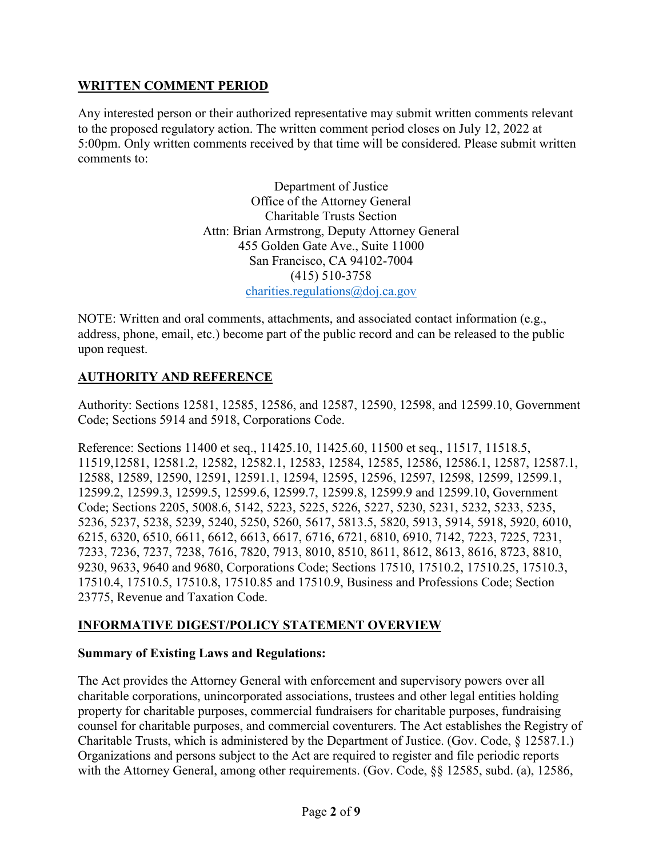## **WRITTEN COMMENT PERIOD**

Any interested person or their authorized representative may submit written comments relevant to the proposed regulatory action. The written comment period closes on July 12, 2022 at 5:00pm. Only written comments received by that time will be considered. Please submit written comments to:

> Department of Justice Office of the Attorney General Charitable Trusts Section Attn: Brian Armstrong, Deputy Attorney General 455 Golden Gate Ave., Suite 11000 San Francisco, CA 94102-7004 (415) 510-3758 [charities.regulations@doj.ca.gov](mailto:charities.regulations@doj.ca.gov)

NOTE: Written and oral comments, attachments, and associated contact information (e.g., address, phone, email, etc.) become part of the public record and can be released to the public upon request.

# **AUTHORITY AND REFERENCE**

Authority: Sections 12581, 12585, 12586, and 12587, 12590, 12598, and 12599.10, Government Code; Sections 5914 and 5918, Corporations Code.

Reference: Sections 11400 et seq., 11425.10, 11425.60, 11500 et seq., 11517, 11518.5, 11519,12581, 12581.2, 12582, 12582.1, 12583, 12584, 12585, 12586, 12586.1, 12587, 12587.1, 12588, 12589, 12590, 12591, 12591.1, 12594, 12595, 12596, 12597, 12598, 12599, 12599.1, 12599.2, 12599.3, 12599.5, 12599.6, 12599.7, 12599.8, 12599.9 and 12599.10, Government Code; Sections 2205, 5008.6, 5142, 5223, 5225, 5226, 5227, 5230, 5231, 5232, 5233, 5235, 5236, 5237, 5238, 5239, 5240, 5250, 5260, 5617, 5813.5, 5820, 5913, 5914, 5918, 5920, 6010, 6215, 6320, 6510, 6611, 6612, 6613, 6617, 6716, 6721, 6810, 6910, 7142, 7223, 7225, 7231, 7233, 7236, 7237, 7238, 7616, 7820, 7913, 8010, 8510, 8611, 8612, 8613, 8616, 8723, 8810, 9230, 9633, 9640 and 9680, Corporations Code; Sections 17510, 17510.2, 17510.25, 17510.3, 17510.4, 17510.5, 17510.8, 17510.85 and 17510.9, Business and Professions Code; Section 23775, Revenue and Taxation Code.

#### **INFORMATIVE DIGEST/POLICY STATEMENT OVERVIEW**

#### **Summary of Existing Laws and Regulations:**

The Act provides the Attorney General with enforcement and supervisory powers over all charitable corporations, unincorporated associations, trustees and other legal entities holding property for charitable purposes, commercial fundraisers for charitable purposes, fundraising counsel for charitable purposes, and commercial coventurers. The Act establishes the Registry of Charitable Trusts, which is administered by the Department of Justice. (Gov. Code, § 12587.1.) Organizations and persons subject to the Act are required to register and file periodic reports with the Attorney General, among other requirements. (Gov. Code, §§ 12585, subd. (a), 12586,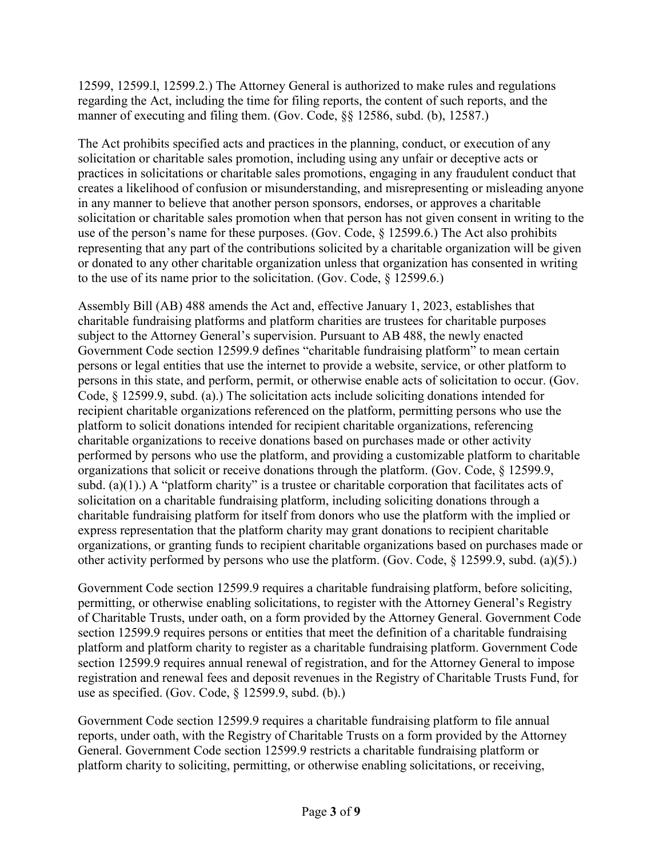12599, 12599.l, 12599.2.) The Attorney General is authorized to make rules and regulations regarding the Act, including the time for filing reports, the content of such reports, and the manner of executing and filing them. (Gov. Code, §§ 12586, subd. (b), 12587.)

The Act prohibits specified acts and practices in the planning, conduct, or execution of any solicitation or charitable sales promotion, including using any unfair or deceptive acts or practices in solicitations or charitable sales promotions, engaging in any fraudulent conduct that creates a likelihood of confusion or misunderstanding, and misrepresenting or misleading anyone in any manner to believe that another person sponsors, endorses, or approves a charitable solicitation or charitable sales promotion when that person has not given consent in writing to the use of the person's name for these purposes. (Gov. Code, § 12599.6.) The Act also prohibits representing that any part of the contributions solicited by a charitable organization will be given or donated to any other charitable organization unless that organization has consented in writing to the use of its name prior to the solicitation. (Gov. Code, § 12599.6.)

Assembly Bill (AB) 488 amends the Act and, effective January 1, 2023, establishes that charitable fundraising platforms and platform charities are trustees for charitable purposes subject to the Attorney General's supervision. Pursuant to AB 488, the newly enacted Government Code section 12599.9 defines "charitable fundraising platform" to mean certain persons or legal entities that use the internet to provide a website, service, or other platform to persons in this state, and perform, permit, or otherwise enable acts of solicitation to occur. (Gov. Code, § 12599.9, subd. (a).) The solicitation acts include soliciting donations intended for recipient charitable organizations referenced on the platform, permitting persons who use the platform to solicit donations intended for recipient charitable organizations, referencing charitable organizations to receive donations based on purchases made or other activity performed by persons who use the platform, and providing a customizable platform to charitable organizations that solicit or receive donations through the platform. (Gov. Code, § 12599.9, subd. (a)(1).) A "platform charity" is a trustee or charitable corporation that facilitates acts of solicitation on a charitable fundraising platform, including soliciting donations through a charitable fundraising platform for itself from donors who use the platform with the implied or express representation that the platform charity may grant donations to recipient charitable organizations, or granting funds to recipient charitable organizations based on purchases made or other activity performed by persons who use the platform. (Gov. Code, § 12599.9, subd. (a)(5).)

Government Code section 12599.9 requires a charitable fundraising platform, before soliciting, permitting, or otherwise enabling solicitations, to register with the Attorney General's Registry of Charitable Trusts, under oath, on a form provided by the Attorney General. Government Code section 12599.9 requires persons or entities that meet the definition of a charitable fundraising platform and platform charity to register as a charitable fundraising platform. Government Code section 12599.9 requires annual renewal of registration, and for the Attorney General to impose registration and renewal fees and deposit revenues in the Registry of Charitable Trusts Fund, for use as specified. (Gov. Code, § 12599.9, subd. (b).)

Government Code section 12599.9 requires a charitable fundraising platform to file annual reports, under oath, with the Registry of Charitable Trusts on a form provided by the Attorney General. Government Code section 12599.9 restricts a charitable fundraising platform or platform charity to soliciting, permitting, or otherwise enabling solicitations, or receiving,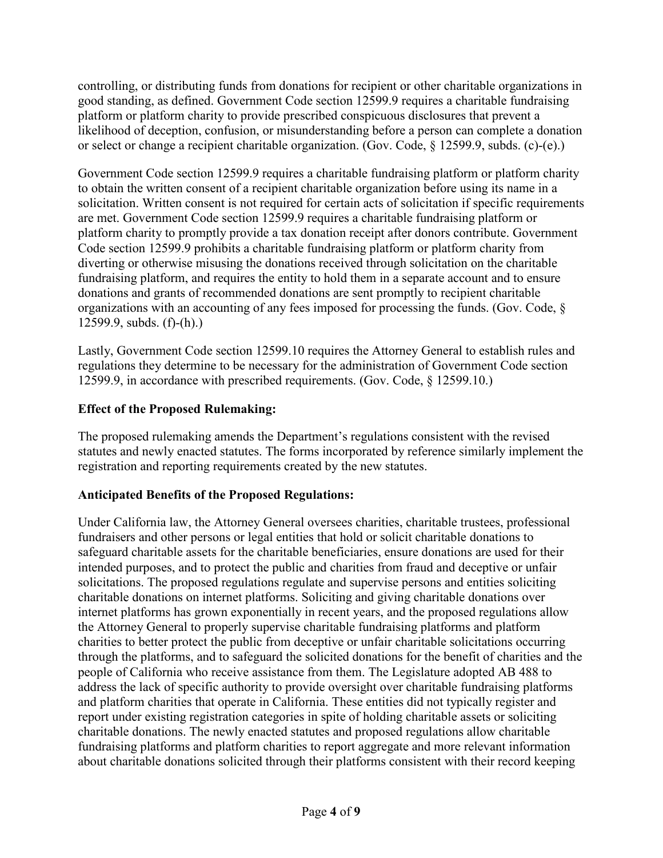controlling, or distributing funds from donations for recipient or other charitable organizations in good standing, as defined. Government Code section 12599.9 requires a charitable fundraising platform or platform charity to provide prescribed conspicuous disclosures that prevent a likelihood of deception, confusion, or misunderstanding before a person can complete a donation or select or change a recipient charitable organization. (Gov. Code, § 12599.9, subds. (c)-(e).)

Government Code section 12599.9 requires a charitable fundraising platform or platform charity to obtain the written consent of a recipient charitable organization before using its name in a solicitation. Written consent is not required for certain acts of solicitation if specific requirements are met. Government Code section 12599.9 requires a charitable fundraising platform or platform charity to promptly provide a tax donation receipt after donors contribute. Government Code section 12599.9 prohibits a charitable fundraising platform or platform charity from diverting or otherwise misusing the donations received through solicitation on the charitable fundraising platform, and requires the entity to hold them in a separate account and to ensure donations and grants of recommended donations are sent promptly to recipient charitable organizations with an accounting of any fees imposed for processing the funds. (Gov. Code, § 12599.9, subds. (f)-(h).)

Lastly, Government Code section 12599.10 requires the Attorney General to establish rules and regulations they determine to be necessary for the administration of Government Code section 12599.9, in accordance with prescribed requirements. (Gov. Code, § 12599.10.)

## **Effect of the Proposed Rulemaking:**

The proposed rulemaking amends the Department's regulations consistent with the revised statutes and newly enacted statutes. The forms incorporated by reference similarly implement the registration and reporting requirements created by the new statutes.

# **Anticipated Benefits of the Proposed Regulations:**

Under California law, the Attorney General oversees charities, charitable trustees, professional fundraisers and other persons or legal entities that hold or solicit charitable donations to safeguard charitable assets for the charitable beneficiaries, ensure donations are used for their intended purposes, and to protect the public and charities from fraud and deceptive or unfair solicitations. The proposed regulations regulate and supervise persons and entities soliciting charitable donations on internet platforms. Soliciting and giving charitable donations over internet platforms has grown exponentially in recent years, and the proposed regulations allow the Attorney General to properly supervise charitable fundraising platforms and platform charities to better protect the public from deceptive or unfair charitable solicitations occurring through the platforms, and to safeguard the solicited donations for the benefit of charities and the people of California who receive assistance from them. The Legislature adopted AB 488 to address the lack of specific authority to provide oversight over charitable fundraising platforms and platform charities that operate in California. These entities did not typically register and report under existing registration categories in spite of holding charitable assets or soliciting charitable donations. The newly enacted statutes and proposed regulations allow charitable fundraising platforms and platform charities to report aggregate and more relevant information about charitable donations solicited through their platforms consistent with their record keeping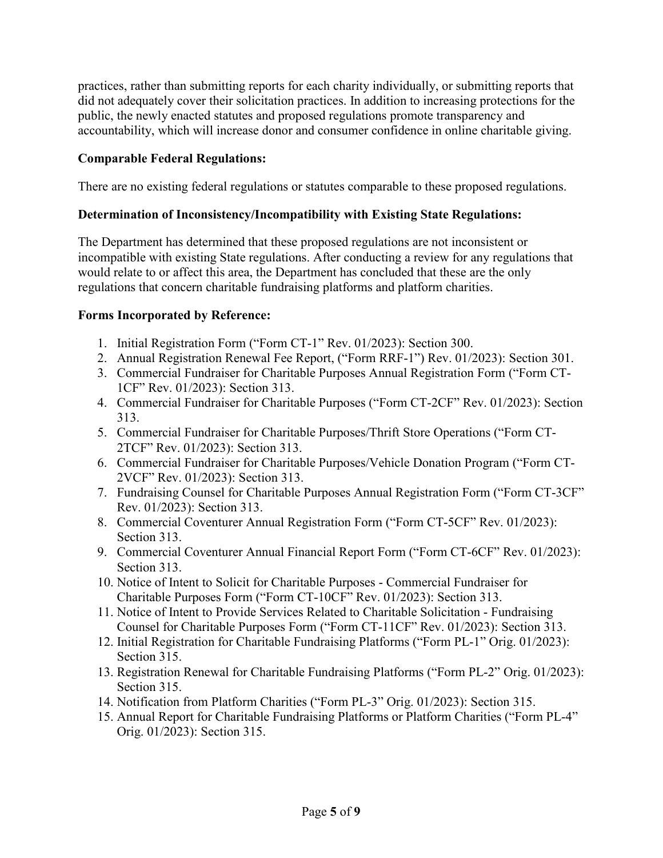practices, rather than submitting reports for each charity individually, or submitting reports that did not adequately cover their solicitation practices. In addition to increasing protections for the public, the newly enacted statutes and proposed regulations promote transparency and accountability, which will increase donor and consumer confidence in online charitable giving.

### **Comparable Federal Regulations:**

There are no existing federal regulations or statutes comparable to these proposed regulations.

#### **Determination of Inconsistency/Incompatibility with Existing State Regulations:**

The Department has determined that these proposed regulations are not inconsistent or incompatible with existing State regulations. After conducting a review for any regulations that would relate to or affect this area, the Department has concluded that these are the only regulations that concern charitable fundraising platforms and platform charities.

#### **Forms Incorporated by Reference:**

- 1. Initial Registration Form ("Form CT-1" Rev. 01/2023): Section 300.
- 2. Annual Registration Renewal Fee Report, ("Form RRF-1") Rev. 01/2023): Section 301.
- 3. Commercial Fundraiser for Charitable Purposes Annual Registration Form ("Form CT-1CF" Rev. 01/2023): Section 313.
- 4. Commercial Fundraiser for Charitable Purposes ("Form CT-2CF" Rev. 01/2023): Section 313.
- 5. Commercial Fundraiser for Charitable Purposes/Thrift Store Operations ("Form CT-2TCF" Rev. 01/2023): Section 313.
- 6. Commercial Fundraiser for Charitable Purposes/Vehicle Donation Program ("Form CT-2VCF" Rev. 01/2023): Section 313.
- 7. Fundraising Counsel for Charitable Purposes Annual Registration Form ("Form CT-3CF" Rev. 01/2023): Section 313.
- 8. Commercial Coventurer Annual Registration Form ("Form CT-5CF" Rev. 01/2023): Section 313.
- 9. Commercial Coventurer Annual Financial Report Form ("Form CT-6CF" Rev. 01/2023): Section 313.
- 10. Notice of Intent to Solicit for Charitable Purposes Commercial Fundraiser for Charitable Purposes Form ("Form CT-10CF" Rev. 01/2023): Section 313.
- 11. Notice of Intent to Provide Services Related to Charitable Solicitation Fundraising Counsel for Charitable Purposes Form ("Form CT-11CF" Rev. 01/2023): Section 313.
- 12. Initial Registration for Charitable Fundraising Platforms ("Form PL-1" Orig. 01/2023): Section 315.
- 13. Registration Renewal for Charitable Fundraising Platforms ("Form PL-2" Orig. 01/2023): Section 315.
- 14. Notification from Platform Charities ("Form PL-3" Orig. 01/2023): Section 315.
- 15. Annual Report for Charitable Fundraising Platforms or Platform Charities ("Form PL-4" Orig. 01/2023): Section 315.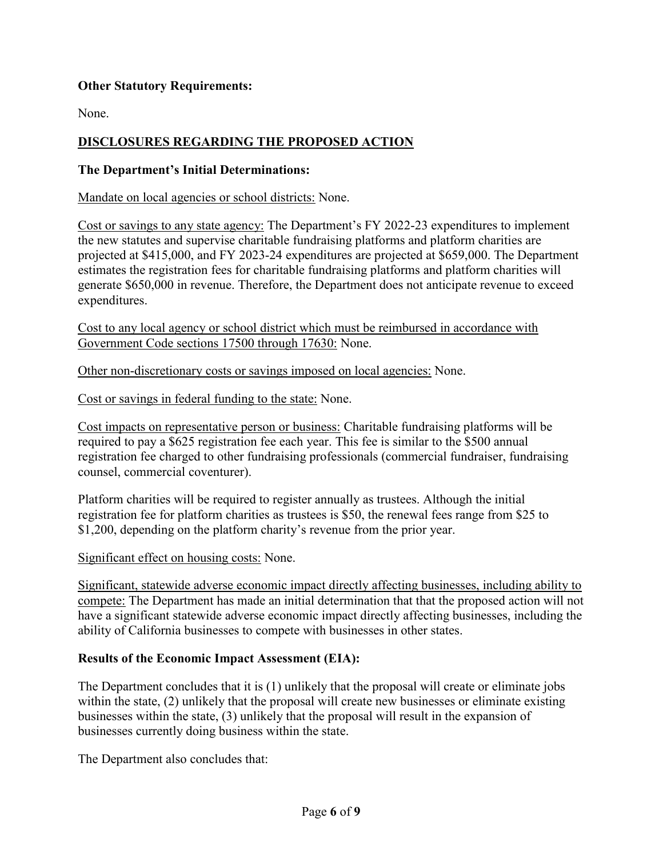### **Other Statutory Requirements:**

None.

## **DISCLOSURES REGARDING THE PROPOSED ACTION**

#### **The Department's Initial Determinations:**

Mandate on local agencies or school districts: None.

Cost or savings to any state agency: The Department's FY 2022-23 expenditures to implement the new statutes and supervise charitable fundraising platforms and platform charities are projected at \$415,000, and FY 2023-24 expenditures are projected at \$659,000. The Department estimates the registration fees for charitable fundraising platforms and platform charities will generate \$650,000 in revenue. Therefore, the Department does not anticipate revenue to exceed expenditures.

Cost to any local agency or school district which must be reimbursed in accordance with Government Code sections 17500 through 17630: None.

Other non-discretionary costs or savings imposed on local agencies: None.

Cost or savings in federal funding to the state: None.

Cost impacts on representative person or business: Charitable fundraising platforms will be required to pay a \$625 registration fee each year. This fee is similar to the \$500 annual registration fee charged to other fundraising professionals (commercial fundraiser, fundraising counsel, commercial coventurer).

Platform charities will be required to register annually as trustees. Although the initial registration fee for platform charities as trustees is \$50, the renewal fees range from \$25 to \$1,200, depending on the platform charity's revenue from the prior year.

#### Significant effect on housing costs: None.

Significant, statewide adverse economic impact directly affecting businesses, including ability to compete: The Department has made an initial determination that that the proposed action will not have a significant statewide adverse economic impact directly affecting businesses, including the ability of California businesses to compete with businesses in other states.

#### **Results of the Economic Impact Assessment (EIA):**

The Department concludes that it is (1) unlikely that the proposal will create or eliminate jobs within the state, (2) unlikely that the proposal will create new businesses or eliminate existing businesses within the state, (3) unlikely that the proposal will result in the expansion of businesses currently doing business within the state.

The Department also concludes that: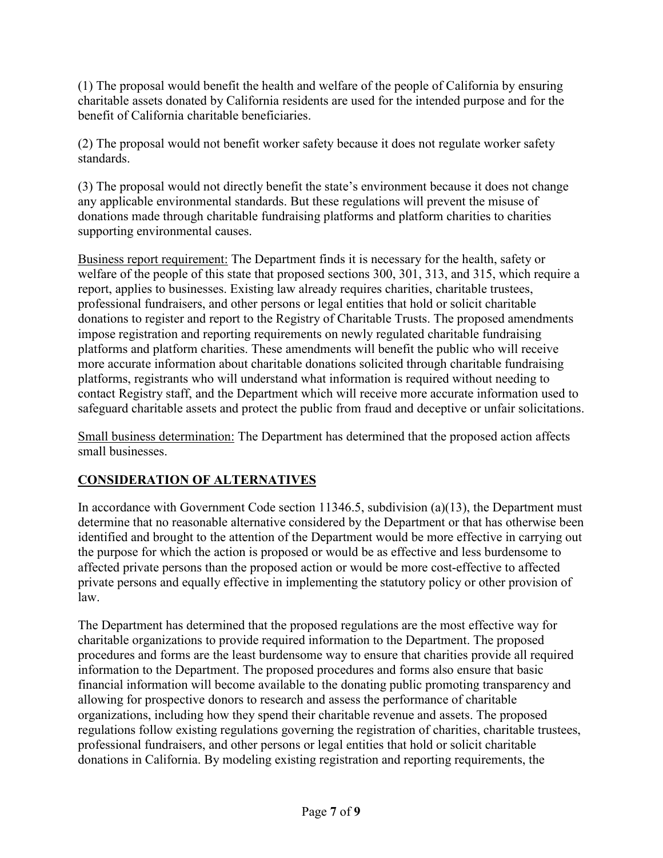(1) The proposal would benefit the health and welfare of the people of California by ensuring charitable assets donated by California residents are used for the intended purpose and for the benefit of California charitable beneficiaries.

(2) The proposal would not benefit worker safety because it does not regulate worker safety standards.

(3) The proposal would not directly benefit the state's environment because it does not change any applicable environmental standards. But these regulations will prevent the misuse of donations made through charitable fundraising platforms and platform charities to charities supporting environmental causes.

Business report requirement: The Department finds it is necessary for the health, safety or welfare of the people of this state that proposed sections 300, 301, 313, and 315, which require a report, applies to businesses. Existing law already requires charities, charitable trustees, professional fundraisers, and other persons or legal entities that hold or solicit charitable donations to register and report to the Registry of Charitable Trusts. The proposed amendments impose registration and reporting requirements on newly regulated charitable fundraising platforms and platform charities. These amendments will benefit the public who will receive more accurate information about charitable donations solicited through charitable fundraising platforms, registrants who will understand what information is required without needing to contact Registry staff, and the Department which will receive more accurate information used to safeguard charitable assets and protect the public from fraud and deceptive or unfair solicitations.

Small business determination: The Department has determined that the proposed action affects small businesses.

# **CONSIDERATION OF ALTERNATIVES**

In accordance with Government Code section 11346.5, subdivision (a)(13), the Department must determine that no reasonable alternative considered by the Department or that has otherwise been identified and brought to the attention of the Department would be more effective in carrying out the purpose for which the action is proposed or would be as effective and less burdensome to affected private persons than the proposed action or would be more cost-effective to affected private persons and equally effective in implementing the statutory policy or other provision of law.

The Department has determined that the proposed regulations are the most effective way for charitable organizations to provide required information to the Department. The proposed procedures and forms are the least burdensome way to ensure that charities provide all required information to the Department. The proposed procedures and forms also ensure that basic financial information will become available to the donating public promoting transparency and allowing for prospective donors to research and assess the performance of charitable organizations, including how they spend their charitable revenue and assets. The proposed regulations follow existing regulations governing the registration of charities, charitable trustees, professional fundraisers, and other persons or legal entities that hold or solicit charitable donations in California. By modeling existing registration and reporting requirements, the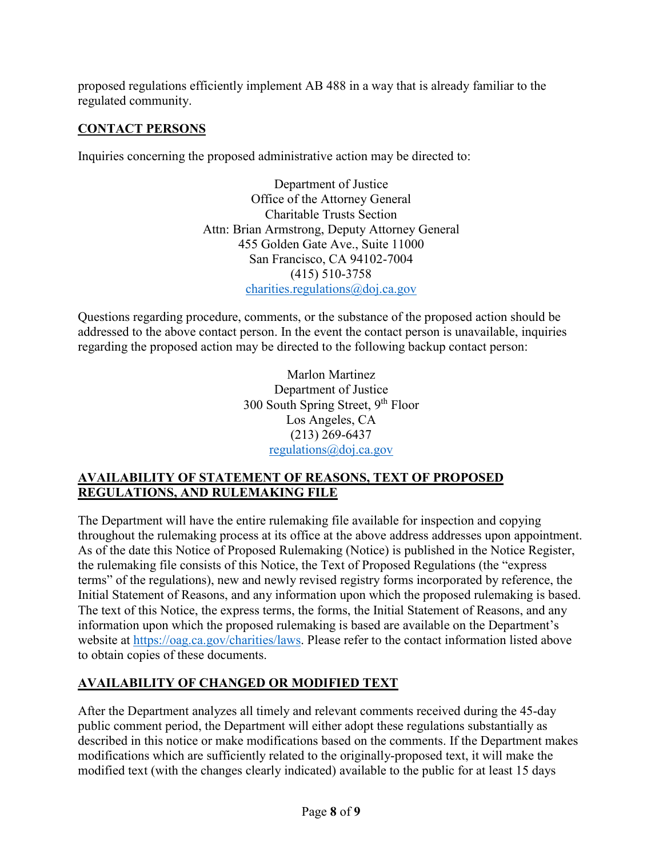proposed regulations efficiently implement AB 488 in a way that is already familiar to the regulated community.

# **CONTACT PERSONS**

Inquiries concerning the proposed administrative action may be directed to:

Department of Justice Office of the Attorney General Charitable Trusts Section Attn: Brian Armstrong, Deputy Attorney General 455 Golden Gate Ave., Suite 11000 San Francisco, CA 94102-7004 (415) 510-3758 [charities.regulations@doj.ca.gov](mailto:charities.regulations@doj.ca.gov)

Questions regarding procedure, comments, or the substance of the proposed action should be addressed to the above contact person. In the event the contact person is unavailable, inquiries regarding the proposed action may be directed to the following backup contact person:

> Marlon Martinez Department of Justice 300 South Spring Street, 9<sup>th</sup> Floor Los Angeles, CA (213) 269-6437 [regulations@doj.ca.gov](mailto:regulations@doj.ca.gov)

# **AVAILABILITY OF STATEMENT OF REASONS, TEXT OF PROPOSED REGULATIONS, AND RULEMAKING FILE**

The Department will have the entire rulemaking file available for inspection and copying throughout the rulemaking process at its office at the above address addresses upon appointment. As of the date this Notice of Proposed Rulemaking (Notice) is published in the Notice Register, the rulemaking file consists of this Notice, the Text of Proposed Regulations (the "express terms" of the regulations), new and newly revised registry forms incorporated by reference, the Initial Statement of Reasons, and any information upon which the proposed rulemaking is based. The text of this Notice, the express terms, the forms, the Initial Statement of Reasons, and any information upon which the proposed rulemaking is based are available on the Department's website at [https://oag.ca.gov/charities/laws.](https://oag.ca.gov/charities/laws) Please refer to the contact information listed above to obtain copies of these documents.

# **AVAILABILITY OF CHANGED OR MODIFIED TEXT**

After the Department analyzes all timely and relevant comments received during the 45-day public comment period, the Department will either adopt these regulations substantially as described in this notice or make modifications based on the comments. If the Department makes modifications which are sufficiently related to the originally-proposed text, it will make the modified text (with the changes clearly indicated) available to the public for at least 15 days